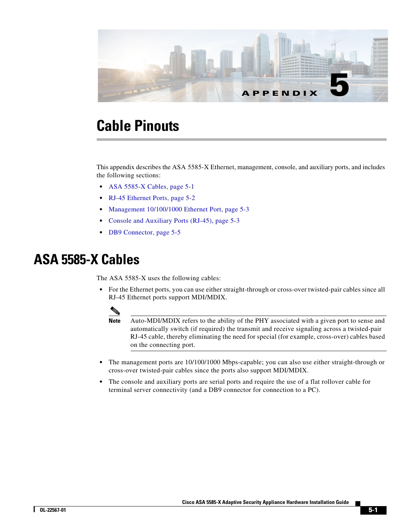

# **Cable Pinouts**

This appendix describes the ASA 5585-X Ethernet, management, console, and auxiliary ports, and includes the following sections:

- **•** [ASA 5585-X Cables, page 5-1](#page-0-0)
- **•** [RJ-45 Ethernet Ports, page 5-2](#page-1-0)
- **•** [Management 10/100/1000 Ethernet Port, page 5-3](#page-2-0)
- **•** [Console and Auxiliary Ports \(RJ-45\), page 5-3](#page-2-1)
- **•** [DB9 Connector, page 5-5](#page-4-0)

### <span id="page-0-0"></span>**ASA 5585-X Cables**

The ASA 5585-X uses the following cables:

• For the Ethernet ports, you can use either straight-through or cross-over twisted-pair cables since all RJ-45 Ethernet ports support MDI/MDIX.



**Note** Auto-MDI/MDIX refers to the ability of the PHY associated with a given port to sense and automatically switch (if required) the transmit and receive signaling across a twisted-pair RJ-45 cable, thereby eliminating the need for special (for example, cross-over) cables based on the connecting port.

- **•** The management ports are 10/100/1000 Mbps-capable; you can also use either straight-through or cross-over twisted-pair cables since the ports also support MDI/MDIX.
- The console and auxiliary ports are serial ports and require the use of a flat rollover cable for terminal server connectivity (and a DB9 connector for connection to a PC).

Г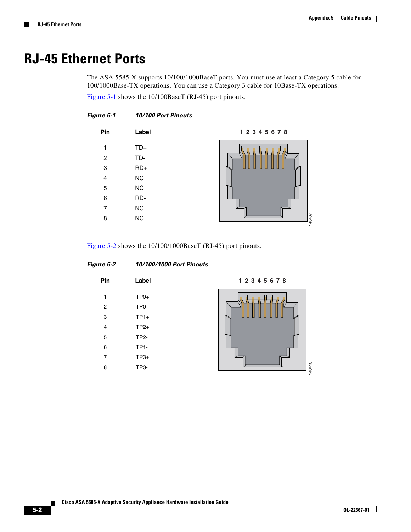### <span id="page-1-0"></span>**RJ-45 Ethernet Ports**

The ASA 5585-X supports 10/100/1000BaseT ports. You must use at least a Category 5 cable for 100/1000Base-TX operations. You can use a Category 3 cable for 10Base-TX operations.

[Figure 5-1](#page-1-1) shows the 10/100BaseT (RJ-45) port pinouts.

| Pin                   | Label                                       | 12345678    |  |  |
|-----------------------|---------------------------------------------|-------------|--|--|
| 1<br>2<br>3<br>4<br>5 | $TD+$<br>TD-<br>$RD+$<br>${\sf NC}$<br>$NC$ | 日<br>A<br>ш |  |  |
| 6                     | RD-                                         |             |  |  |
| 7<br>8                | NC<br>NC                                    | 148407      |  |  |

<span id="page-1-1"></span>*Figure 5-1 10/100 Port Pinouts*

[Figure 5-2](#page-1-2) shows the 10/100/1000BaseT (RJ-45) port pinouts.

| Pin                                                            | Label                                                                              | 12345678 |
|----------------------------------------------------------------|------------------------------------------------------------------------------------|----------|
| 1<br>$\overline{2}$<br>3<br>$\overline{4}$<br>5<br>6<br>7<br>8 | $TP0+$<br>TP0-<br>$TP1+$<br>$TP2+$<br><b>TP2-</b><br><b>TP1-</b><br>$TP3+$<br>TP3- | 148410   |

#### <span id="page-1-2"></span>*Figure 5-2 10/100/1000 Port Pinouts*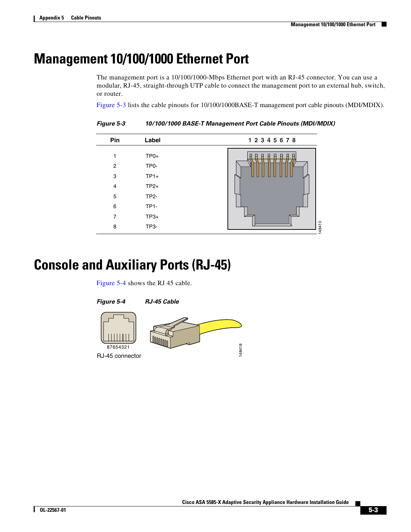148410

### <span id="page-2-0"></span>**Management 10/100/1000 Ethernet Port**

The management port is a 10/100/1000-Mbps Ethernet port with an RJ-45 connector. You can use a modular, RJ-45, straight-through UTP cable to connect the management port to an external hub, switch, or router.

[Figure 5-3](#page-2-2) lists the cable pinouts for 10/100/1000BASE-T management port cable pinouts (MDI/MDIX).

**Pin Label 1 2 3 4 5 6 7 8** 1 2 3 4 5 6 7 TP0+ TP0-  $TP1+$ TP2+ TP2- TP1- TP3+

<span id="page-2-2"></span>*Figure 5-3 10/100/1000 BASE-T Management Port Cable Pinouts (MDI/MDIX)*

## <span id="page-2-1"></span>**Console and Auxiliary Ports (RJ-45)**

8

[Figure 5-4](#page-2-3) shows the RJ 45 cable.

TP3-

<span id="page-2-3"></span>

Г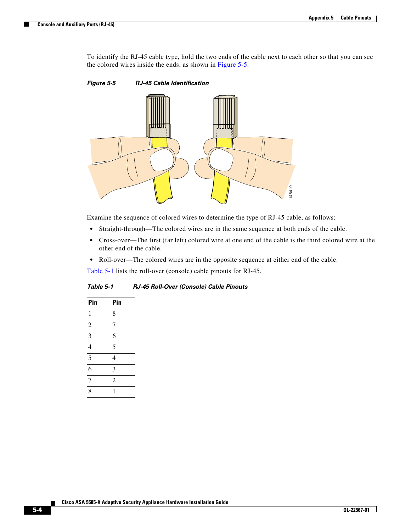To identify the RJ-45 cable type, hold the two ends of the cable next to each other so that you can see the colored wires inside the ends, as shown in [Figure 5-5](#page-3-0).

<span id="page-3-0"></span>*Figure 5-5 RJ-45 Cable Identification*



Examine the sequence of colored wires to determine the type of RJ-45 cable, as follows:

- **•** Straight-through—The colored wires are in the same sequence at both ends of the cable.
- **•** Cross-over—The first (far left) colored wire at one end of the cable is the third colored wire at the other end of the cable.
- **•** Roll-over—The colored wires are in the opposite sequence at either end of the cable.

[Table 5-1](#page-3-1) lists the roll-over (console) cable pinouts for RJ-45.

<span id="page-3-1"></span>*Table 5-1 RJ-45 Roll-Over (Console) Cable Pinouts* 

| Pin                     | Pin            |
|-------------------------|----------------|
| $\mathbf{1}$            | 8              |
| $\overline{2}$          | 7              |
| $\overline{\mathbf{3}}$ | 6              |
| $\overline{4}$          | 5              |
| $\overline{5}$          | $\overline{4}$ |
| 6                       | 3              |
| $\overline{7}$          | $\overline{2}$ |
| 8                       | 1              |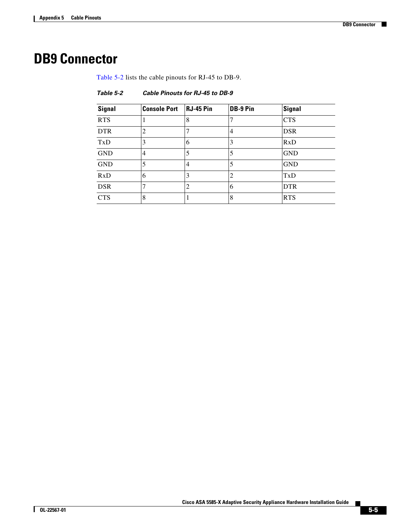# <span id="page-4-1"></span><span id="page-4-0"></span>**DB9 Connector**

[Table 5-2](#page-4-1) lists the cable pinouts for RJ-45 to DB-9.

*Table 5-2 Cable Pinouts for RJ-45 to DB-9*

| <b>Signal</b> | <b>Console Port</b> | <b>RJ-45 Pin</b> | DB-9 Pin | <b>Signal</b> |
|---------------|---------------------|------------------|----------|---------------|
| <b>RTS</b>    |                     | 8                |          | <b>CTS</b>    |
| <b>DTR</b>    | 2                   |                  | 4        | <b>DSR</b>    |
| TxD           | 3                   | 6                | 3        | RxD           |
| <b>GND</b>    | $\overline{4}$      | 5                | 5        | <b>GND</b>    |
| <b>GND</b>    |                     | 4                | 5        | <b>GND</b>    |
| RxD           | 6                   | 3                | 2        | TxD           |
| <b>DSR</b>    |                     | 2                | 6        | <b>DTR</b>    |
| <b>CTS</b>    | 8                   |                  | 8        | <b>RTS</b>    |